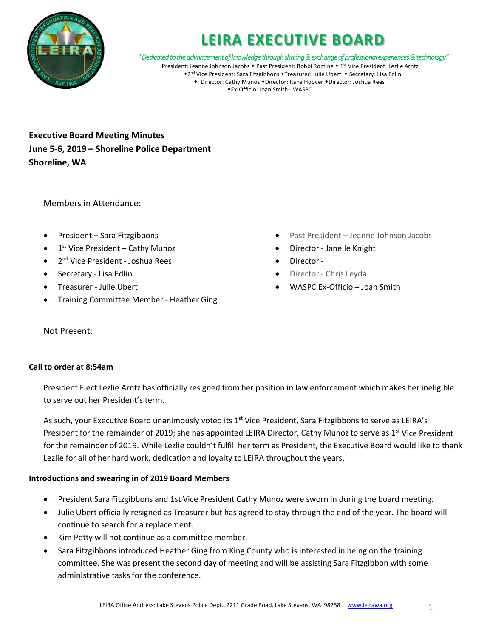

"*Dedicated to the advancement of knowledge through sharing & exchange of professional experiences & technology"*

President: Jeanne Johnson Jacobs • Past President: Bobbi Romine • 1st Vice President: Lezlie Arntz \*2<sup>nd</sup> Vice President: Sara Fitzgibbons \*Treasurer: Julie Ubert \* Secretary: Lisa Edlin ◆ Director: Cathy Munoz ◆Director: Rana Hoover ◆Director: Joshua Rees Ex-Officio: Joan Smith - WASPC

**Executive Board Meeting Minutes June 5-6, 2019 – Shoreline Police Department Shoreline, WA** 

Members in Attendance:

- President Sara Fitzgibbons
- 1<sup>st</sup> Vice President Cathy Munoz
- 2<sup>nd</sup> Vice President Joshua Rees
- Secretary Lisa Edlin
- Treasurer Julie Ubert
- Training Committee Member Heather Ging
- Past President Jeanne Johnson Jacobs
- Director Janelle Knight
- Director -
- Director Chris Leyda
- WASPC Ex-Officio Joan Smith

Not Present:

## **Call to order at 8:54am**

President Elect Lezlie Arntz has officially resigned from her position in law enforcement which makes her ineligible to serve out her President's term.

As such, your Executive Board unanimously voted its 1<sup>st</sup> Vice President, Sara Fitzgibbons to serve as LEIRA's President for the remainder of 2019; she has appointed LEIRA Director, Cathy Munoz to serve as 1<sup>st</sup> Vice President for the remainder of 2019. While Lezlie couldn't fulfill her term as President, the Executive Board would like to thank Lezlie for all of her hard work, dedication and loyalty to LEIRA throughout the years.

# **Introductions and swearing in of 2019 Board Members**

- President Sara Fitzgibbons and 1st Vice President Cathy Munoz were sworn in during the board meeting.
- Julie Ubert officially resigned as Treasurer but has agreed to stay through the end of the year. The board will continue to search for a replacement.
- Kim Petty will not continue as a committee member.
- Sara Fitzgibbons introduced Heather Ging from King County who is interested in being on the training committee. She was present the second day of meeting and will be assisting Sara Fitzgibbon with some administrative tasks for the conference.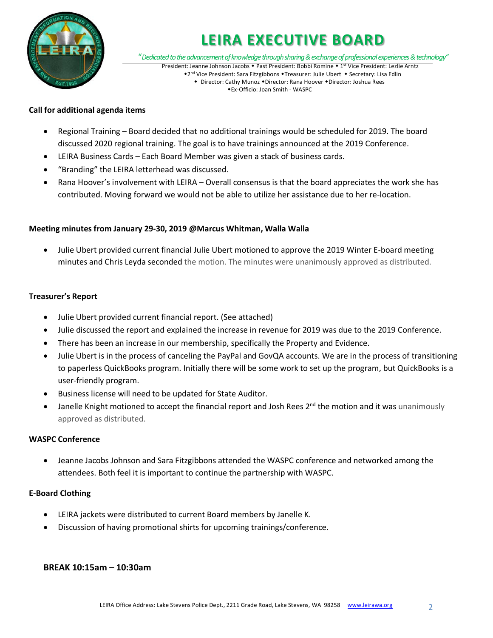

"*Dedicated to the advancement of knowledge through sharing & exchange of professional experiences & technology"*

President: Jeanne Johnson Jacobs • Past President: Bobbi Romine • 1st Vice President: Lezlie Arntz \*2<sup>nd</sup> Vice President: Sara Fitzgibbons \*Treasurer: Julie Ubert \* Secretary: Lisa Edlin • Director: Cathy Munoz • Director: Rana Hoover • Director: Joshua Rees Ex-Officio: Joan Smith - WASPC

## **Call for additional agenda items**

- Regional Training Board decided that no additional trainings would be scheduled for 2019. The board discussed 2020 regional training. The goal is to have trainings announced at the 2019 Conference.
- LEIRA Business Cards Each Board Member was given a stack of business cards.
- "Branding" the LEIRA letterhead was discussed.
- Rana Hoover's involvement with LEIRA Overall consensus is that the board appreciates the work she has contributed. Moving forward we would not be able to utilize her assistance due to her re-location.

## **Meeting minutes from January 29-30, 2019 @Marcus Whitman, Walla Walla**

• Julie Ubert provided current financial Julie Ubert motioned to approve the 2019 Winter E-board meeting minutes and Chris Leyda seconded the motion. The minutes were unanimously approved as distributed.

## **Treasurer's Report**

- Julie Ubert provided current financial report. (See attached)
- Julie discussed the report and explained the increase in revenue for 2019 was due to the 2019 Conference.
- There has been an increase in our membership, specifically the Property and Evidence.
- Julie Ubert is in the process of canceling the PayPal and GovQA accounts. We are in the process of transitioning to paperless QuickBooks program. Initially there will be some work to set up the program, but QuickBooks is a user-friendly program.
- Business license will need to be updated for State Auditor.
- Janelle Knight motioned to accept the financial report and Josh Rees 2<sup>nd</sup> the motion and it was unanimously approved as distributed.

## **WASPC Conference**

• Jeanne Jacobs Johnson and Sara Fitzgibbons attended the WASPC conference and networked among the attendees. Both feel it is important to continue the partnership with WASPC.

## **E-Board Clothing**

- LEIRA jackets were distributed to current Board members by Janelle K.
- Discussion of having promotional shirts for upcoming trainings/conference.

# **BREAK 10:15am – 10:30am**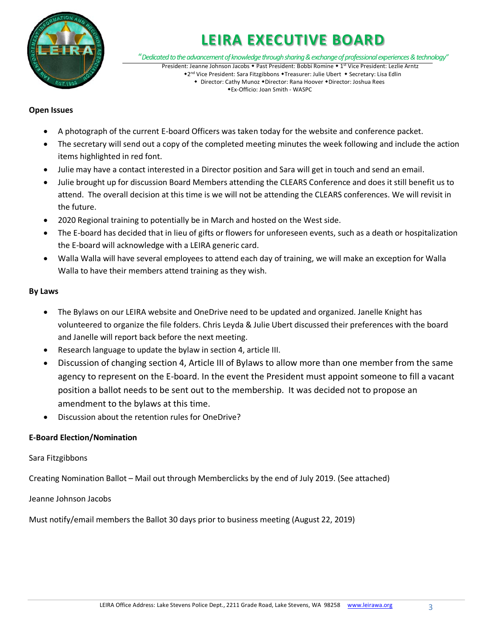

"*Dedicated to the advancement of knowledge through sharing & exchange of professional experiences & technology"*

President: Jeanne Johnson Jacobs • Past President: Bobbi Romine • 1st Vice President: Lezlie Arntz \*2nd Vice President: Sara Fitzgibbons \*Treasurer: Julie Ubert \* Secretary: Lisa Edlin • Director: Cathy Munoz • Director: Rana Hoover • Director: Joshua Rees

#### Ex-Officio: Joan Smith - WASPC

## **Open Issues**

- A photograph of the current E-board Officers was taken today for the website and conference packet.
- The secretary will send out a copy of the completed meeting minutes the week following and include the action items highlighted in red font.
- Julie may have a contact interested in a Director position and Sara will get in touch and send an email.
- Julie brought up for discussion Board Members attending the CLEARS Conference and does it still benefit us to attend. The overall decision at this time is we will not be attending the CLEARS conferences. We will revisit in the future.
- 2020 Regional training to potentially be in March and hosted on the West side.
- The E-board has decided that in lieu of gifts or flowers for unforeseen events, such as a death or hospitalization the E-board will acknowledge with a LEIRA generic card.
- Walla Walla will have several employees to attend each day of training, we will make an exception for Walla Walla to have their members attend training as they wish.

## **By Laws**

- The Bylaws on our LEIRA website and OneDrive need to be updated and organized. Janelle Knight has volunteered to organize the file folders. Chris Leyda & Julie Ubert discussed their preferences with the board and Janelle will report back before the next meeting.
- Research language to update the bylaw in section 4, article III.
- Discussion of changing section 4, Article III of Bylaws to allow more than one member from the same agency to represent on the E-board. In the event the President must appoint someone to fill a vacant position a ballot needs to be sent out to the membership. It was decided not to propose an amendment to the bylaws at this time.
- Discussion about the retention rules for OneDrive?

# **E-Board Election/Nomination**

## Sara Fitzgibbons

Creating Nomination Ballot – Mail out through Memberclicks by the end of July 2019. (See attached)

Jeanne Johnson Jacobs

Must notify/email members the Ballot 30 days prior to business meeting (August 22, 2019)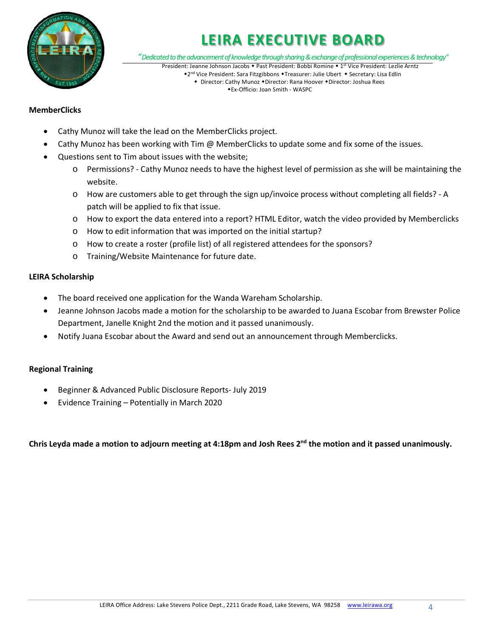

"*Dedicated to the advancement of knowledge through sharing & exchange of professional experiences & technology"*

President: Jeanne Johnson Jacobs • Past President: Bobbi Romine • 1st Vice President: Lezlie Arntz \*2<sup>nd</sup> Vice President: Sara Fitzgibbons \*Treasurer: Julie Ubert \* Secretary: Lisa Edlin + Director: Cathy Munoz + Director: Rana Hoover + Director: Joshua Rees

Ex-Officio: Joan Smith - WASPC

## **MemberClicks**

- Cathy Munoz will take the lead on the MemberClicks project.
- Cathy Munoz has been working with Tim @ MemberClicks to update some and fix some of the issues.
- Questions sent to Tim about issues with the website;
	- o Permissions? Cathy Munoz needs to have the highest level of permission as she will be maintaining the website.
	- o How are customers able to get through the sign up/invoice process without completing all fields? A patch will be applied to fix that issue.
	- o How to export the data entered into a report? HTML Editor, watch the video provided by Memberclicks
	- o How to edit information that was imported on the initial startup?
	- o How to create a roster (profile list) of all registered attendees for the sponsors?
	- o Training/Website Maintenance for future date.

## **LEIRA Scholarship**

- The board received one application for the Wanda Wareham Scholarship.
- Jeanne Johnson Jacobs made a motion for the scholarship to be awarded to Juana Escobar from Brewster Police Department, Janelle Knight 2nd the motion and it passed unanimously.
- Notify Juana Escobar about the Award and send out an announcement through Memberclicks.

## **Regional Training**

- Beginner & Advanced Public Disclosure Reports- July 2019
- Evidence Training Potentially in March 2020

Chris Leyda made a motion to adjourn meeting at 4:18pm and Josh Rees 2<sup>nd</sup> the motion and it passed unanimously.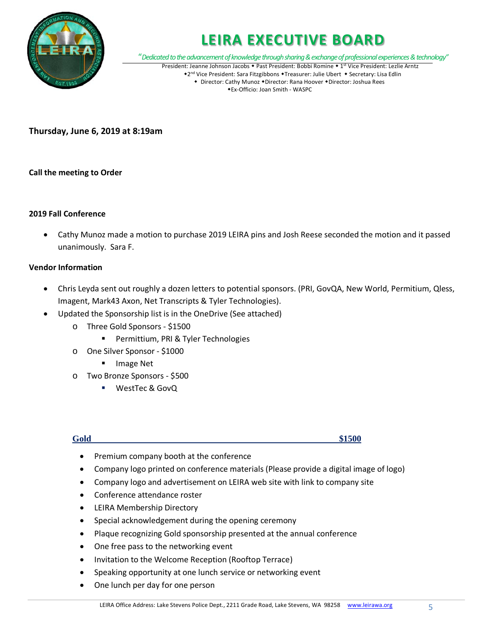

"*Dedicated to the advancement of knowledge through sharing & exchange of professional experiences & technology"*

President: Jeanne Johnson Jacobs • Past President: Bobbi Romine • 1st Vice President: Lezlie Arntz \*2nd Vice President: Sara Fitzgibbons \*Treasurer: Julie Ubert \* Secretary: Lisa Edlin • Director: Cathy Munoz • Director: Rana Hoover • Director: Joshua Rees Ex-Officio: Joan Smith - WASPC

**Thursday, June 6, 2019 at 8:19am**

## **Call the meeting to Order**

## **2019 Fall Conference**

• Cathy Munoz made a motion to purchase 2019 LEIRA pins and Josh Reese seconded the motion and it passed unanimously. Sara F.

## **Vendor Information**

- Chris Leyda sent out roughly a dozen letters to potential sponsors. (PRI, GovQA, New World, Permitium, Qless, Imagent, Mark43 Axon, Net Transcripts & Tyler Technologies).
- Updated the Sponsorship list is in the OneDrive (See attached)
	- o Three Gold Sponsors \$1500
		- **Permittium, PRI & Tyler Technologies**
	- o One Silver Sponsor \$1000
		- **Image Net**
	- o Two Bronze Sponsors \$500
		- WestTec & GovQ

**Gold** \$1500

- Premium company booth at the conference
- Company logo printed on conference materials (Please provide a digital image of logo)
- Company logo and advertisement on LEIRA web site with link to company site
- Conference attendance roster
- LEIRA Membership Directory
- Special acknowledgement during the opening ceremony
- Plaque recognizing Gold sponsorship presented at the annual conference
- One free pass to the networking event
- Invitation to the Welcome Reception (Rooftop Terrace)
- Speaking opportunity at one lunch service or networking event
- One lunch per day for one person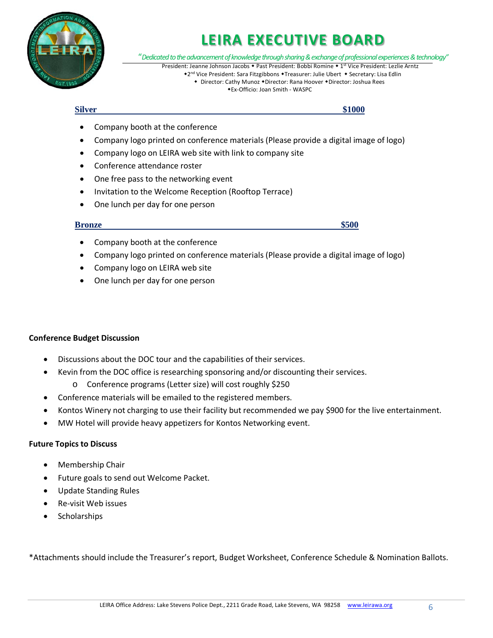

"*Dedicated to the advancement of knowledge through sharing & exchange of professional experiences & technology"*

President: Jeanne Johnson Jacobs • Past President: Bobbi Romine • 1st Vice President: Lezlie Arntz \*2<sup>nd</sup> Vice President: Sara Fitzgibbons \*Treasurer: Julie Ubert \* Secretary: Lisa Edlin

• Director: Cathy Munoz • Director: Rana Hoover • Director: Joshua Rees Ex-Officio: Joan Smith - WASPC

**<u>Silver \$1000</u>** 

- Company booth at the conference
- Company logo printed on conference materials (Please provide a digital image of logo)
- Company logo on LEIRA web site with link to company site
- Conference attendance roster
- One free pass to the networking event
- Invitation to the Welcome Reception (Rooftop Terrace)
- One lunch per day for one person

## **Bronze** \$500

- Company booth at the conference
- Company logo printed on conference materials (Please provide a digital image of logo)
- Company logo on LEIRA web site
- One lunch per day for one person

## **Conference Budget Discussion**

- Discussions about the DOC tour and the capabilities of their services.
- Kevin from the DOC office is researching sponsoring and/or discounting their services.
	- o Conference programs (Letter size) will cost roughly \$250
- Conference materials will be emailed to the registered members.
- Kontos Winery not charging to use their facility but recommended we pay \$900 for the live entertainment.
- MW Hotel will provide heavy appetizers for Kontos Networking event.

## **Future Topics to Discuss**

- Membership Chair
- Future goals to send out Welcome Packet.
- Update Standing Rules
- Re-visit Web issues
- Scholarships

\*Attachments should include the Treasurer's report, Budget Worksheet, Conference Schedule & Nomination Ballots.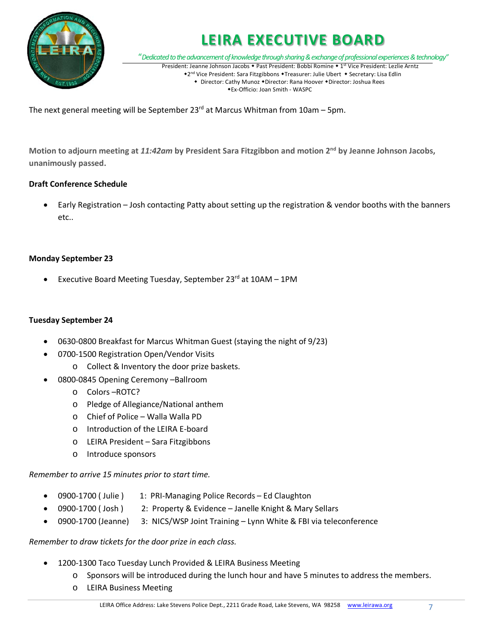

"*Dedicated to the advancement of knowledge through sharing & exchange of professional experiences & technology"*

President: Jeanne Johnson Jacobs • Past President: Bobbi Romine • 1st Vice President: Lezlie Arntz \*2<sup>nd</sup> Vice President: Sara Fitzgibbons \*Treasurer: Julie Ubert \* Secretary: Lisa Edlin • Director: Cathy Munoz • Director: Rana Hoover • Director: Joshua Rees Ex-Officio: Joan Smith - WASPC

The next general meeting will be September  $23<sup>rd</sup>$  at Marcus Whitman from 10am – 5pm.

**Motion to adjourn meeting at** *11:42am* **by President Sara Fitzgibbon and motion 2nd by Jeanne Johnson Jacobs, unanimously passed.**

# **Draft Conference Schedule**

• Early Registration – Josh contacting Patty about setting up the registration & vendor booths with the banners etc..

## **Monday September 23**

Executive Board Meeting Tuesday, September 23rd at 10AM - 1PM

## **Tuesday September 24**

- 0630-0800 Breakfast for Marcus Whitman Guest (staying the night of 9/23)
- 0700-1500 Registration Open/Vendor Visits
	- o Collect & Inventory the door prize baskets.
- 0800-0845 Opening Ceremony –Ballroom
	- o Colors –ROTC?
	- o Pledge of Allegiance/National anthem
	- o Chief of Police Walla Walla PD
	- o Introduction of the LEIRA E-board
	- o LEIRA President Sara Fitzgibbons
	- o Introduce sponsors

*Remember to arrive 15 minutes prior to start time.*

- 0900-1700 (Julie ) 1: PRI-Managing Police Records Ed Claughton
- 0900-1700 ( Josh ) 2: Property & Evidence Janelle Knight & Mary Sellars
- 0900-1700 (Jeanne) 3: NICS/WSP Joint Training Lynn White & FBI via teleconference

## *Remember to draw tickets for the door prize in each class.*

- 1200-1300 Taco Tuesday Lunch Provided & LEIRA Business Meeting
	- o Sponsors will be introduced during the lunch hour and have 5 minutes to address the members.
	- o LEIRA Business Meeting